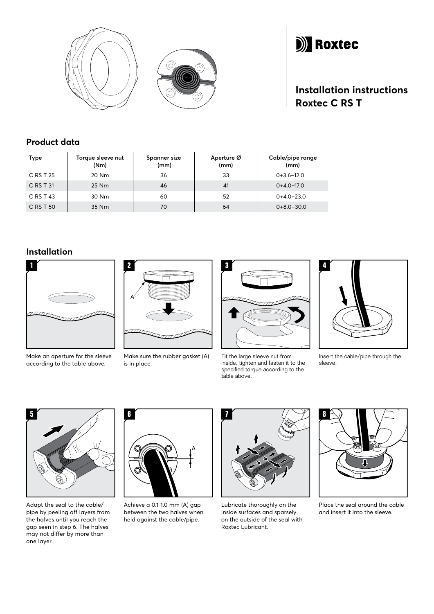



# **Installation instructions Roxtec C RS T**

### **Product data**

| Type      | Torque sleeve nut<br>(Nm) | Spanner size<br>(mm) | Aperture Ø<br>(mm) | Cable/pipe range<br>(mm) |
|-----------|---------------------------|----------------------|--------------------|--------------------------|
| C RS T 25 | 20 Nm                     | 36                   | 33                 | $0+3.6-12.0$             |
| C RS T 31 | 25 Nm                     | 46                   | 41                 | $0+4.0-17.0$             |
| C RS T 43 | 30 Nm                     | 60                   | 52                 | $0+4.0-23.0$             |
| C RS T 50 | 35 Nm                     | 70                   | 64                 | $0+8.0-30.0$             |

## **Installation**



Make an aperture for the sleeve according to the table above.



Make sure the rubber gasket (A) is in place.



Fit the large sleeve nut from inside, tighten and fasten it to the specified torque according to the table above.



Insert the cable/pipe through the sleeve.



Adapt the seal to the cable/ pipe by peeling off layers from the halves until you reach the gap seen in step 6. The halves may not differ by more than one layer.



Achieve a 0.1-1.0 mm (A) gap between the two halves when held against the cable/pipe.



Lubricate thoroughly on the inside surfaces and sparsely on the outside of the seal with Roxtec Lubricant.



Place the seal around the cable and insert it into the sleeve.